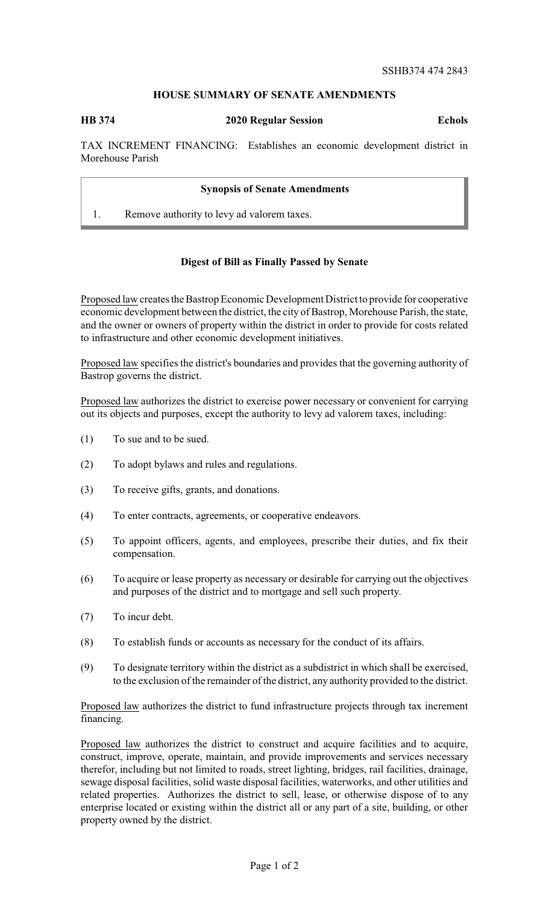## **HOUSE SUMMARY OF SENATE AMENDMENTS**

**HB 374 2020 Regular Session Echols**

TAX INCREMENT FINANCING: Establishes an economic development district in Morehouse Parish

## **Synopsis of Senate Amendments**

1. Remove authority to levy ad valorem taxes.

## **Digest of Bill as Finally Passed by Senate**

Proposed law creates the Bastrop Economic Development District to provide for cooperative economic development between the district, the city of Bastrop, Morehouse Parish, the state, and the owner or owners of property within the district in order to provide for costs related to infrastructure and other economic development initiatives.

Proposed law specifies the district's boundaries and provides that the governing authority of Bastrop governs the district.

Proposed law authorizes the district to exercise power necessary or convenient for carrying out its objects and purposes, except the authority to levy ad valorem taxes, including:

- (1) To sue and to be sued.
- (2) To adopt bylaws and rules and regulations.
- (3) To receive gifts, grants, and donations.
- (4) To enter contracts, agreements, or cooperative endeavors.
- (5) To appoint officers, agents, and employees, prescribe their duties, and fix their compensation.
- (6) To acquire or lease property as necessary or desirable for carrying out the objectives and purposes of the district and to mortgage and sell such property.
- (7) To incur debt.
- (8) To establish funds or accounts as necessary for the conduct of its affairs.
- (9) To designate territory within the district as a subdistrict in which shall be exercised, to the exclusion of the remainder of the district, any authority provided to the district.

Proposed law authorizes the district to fund infrastructure projects through tax increment financing.

Proposed law authorizes the district to construct and acquire facilities and to acquire, construct, improve, operate, maintain, and provide improvements and services necessary therefor, including but not limited to roads, street lighting, bridges, rail facilities, drainage, sewage disposal facilities, solid waste disposal facilities, waterworks, and other utilities and related properties. Authorizes the district to sell, lease, or otherwise dispose of to any enterprise located or existing within the district all or any part of a site, building, or other property owned by the district.